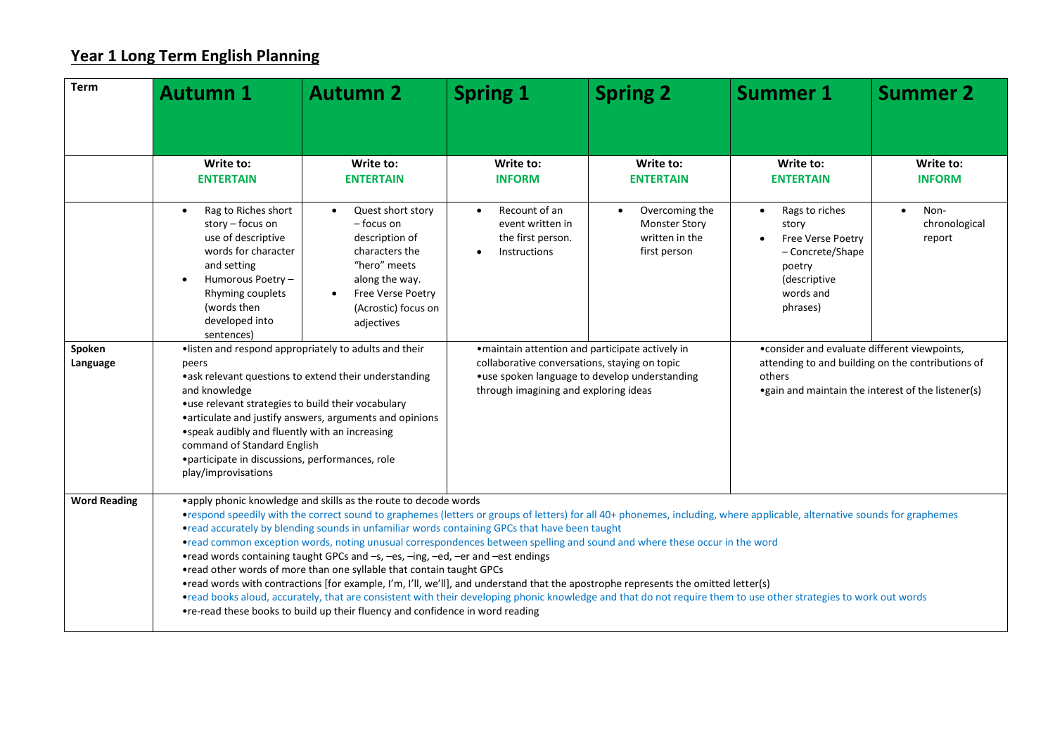## **Year 1 Long Term English Planning**

| <b>Term</b>         | <b>Autumn 1</b>                                                                                                                                                                                                                                                                                                                                                                                                                                                                                                                                                                                                                                                                                                                                                                                                                                                                                                                                                                                                                 | <b>Autumn 2</b>                                                                                                                                                                           | <b>Spring 1</b>                                                                                                                                                                             | <b>Spring 2</b>                                                                       | <b>Summer 1</b>                                                                                                                                                     | <b>Summer 2</b>                              |  |
|---------------------|---------------------------------------------------------------------------------------------------------------------------------------------------------------------------------------------------------------------------------------------------------------------------------------------------------------------------------------------------------------------------------------------------------------------------------------------------------------------------------------------------------------------------------------------------------------------------------------------------------------------------------------------------------------------------------------------------------------------------------------------------------------------------------------------------------------------------------------------------------------------------------------------------------------------------------------------------------------------------------------------------------------------------------|-------------------------------------------------------------------------------------------------------------------------------------------------------------------------------------------|---------------------------------------------------------------------------------------------------------------------------------------------------------------------------------------------|---------------------------------------------------------------------------------------|---------------------------------------------------------------------------------------------------------------------------------------------------------------------|----------------------------------------------|--|
|                     |                                                                                                                                                                                                                                                                                                                                                                                                                                                                                                                                                                                                                                                                                                                                                                                                                                                                                                                                                                                                                                 |                                                                                                                                                                                           |                                                                                                                                                                                             |                                                                                       |                                                                                                                                                                     |                                              |  |
|                     | Write to:<br><b>ENTERTAIN</b>                                                                                                                                                                                                                                                                                                                                                                                                                                                                                                                                                                                                                                                                                                                                                                                                                                                                                                                                                                                                   | Write to:<br><b>ENTERTAIN</b>                                                                                                                                                             | Write to:<br><b>INFORM</b>                                                                                                                                                                  | Write to:<br><b>ENTERTAIN</b>                                                         | Write to:<br><b>ENTERTAIN</b>                                                                                                                                       | Write to:<br><b>INFORM</b>                   |  |
|                     | Rag to Riches short<br>story - focus on<br>use of descriptive<br>words for character<br>and setting<br>Humorous Poetry -<br>Rhyming couplets<br>(words then<br>developed into<br>sentences)                                                                                                                                                                                                                                                                                                                                                                                                                                                                                                                                                                                                                                                                                                                                                                                                                                     | Quest short story<br>$\bullet$<br>– focus on<br>description of<br>characters the<br>"hero" meets<br>along the way.<br>Free Verse Poetry<br>$\bullet$<br>(Acrostic) focus on<br>adjectives | Recount of an<br>$\bullet$<br>event written in<br>the first person.<br>Instructions                                                                                                         | Overcoming the<br>$\bullet$<br><b>Monster Story</b><br>written in the<br>first person | Rags to riches<br>$\bullet$<br>story<br>Free Verse Poetry<br>- Concrete/Shape<br>poetry<br>(descriptive<br>words and<br>phrases)                                    | Non-<br>$\bullet$<br>chronological<br>report |  |
| Spoken<br>Language  | ·listen and respond appropriately to adults and their<br>peers<br>•ask relevant questions to extend their understanding<br>and knowledge<br>•use relevant strategies to build their vocabulary<br>• articulate and justify answers, arguments and opinions<br>• speak audibly and fluently with an increasing<br>command of Standard English<br>• participate in discussions, performances, role<br>play/improvisations                                                                                                                                                                                                                                                                                                                                                                                                                                                                                                                                                                                                         |                                                                                                                                                                                           | • maintain attention and participate actively in<br>collaborative conversations, staying on topic<br>•use spoken language to develop understanding<br>through imagining and exploring ideas |                                                                                       | • consider and evaluate different viewpoints,<br>attending to and building on the contributions of<br>others<br>• gain and maintain the interest of the listener(s) |                                              |  |
| <b>Word Reading</b> | •apply phonic knowledge and skills as the route to decode words<br>•respond speedily with the correct sound to graphemes (letters or groups of letters) for all 40+ phonemes, including, where applicable, alternative sounds for graphemes<br>•read accurately by blending sounds in unfamiliar words containing GPCs that have been taught<br>•read common exception words, noting unusual correspondences between spelling and sound and where these occur in the word<br>•read words containing taught GPCs and -s, -es, -ing, -ed, -er and -est endings<br>•read other words of more than one syllable that contain taught GPCs<br>•read words with contractions [for example, I'm, I'll, we'll], and understand that the apostrophe represents the omitted letter(s)<br>•read books aloud, accurately, that are consistent with their developing phonic knowledge and that do not require them to use other strategies to work out words<br>•re-read these books to build up their fluency and confidence in word reading |                                                                                                                                                                                           |                                                                                                                                                                                             |                                                                                       |                                                                                                                                                                     |                                              |  |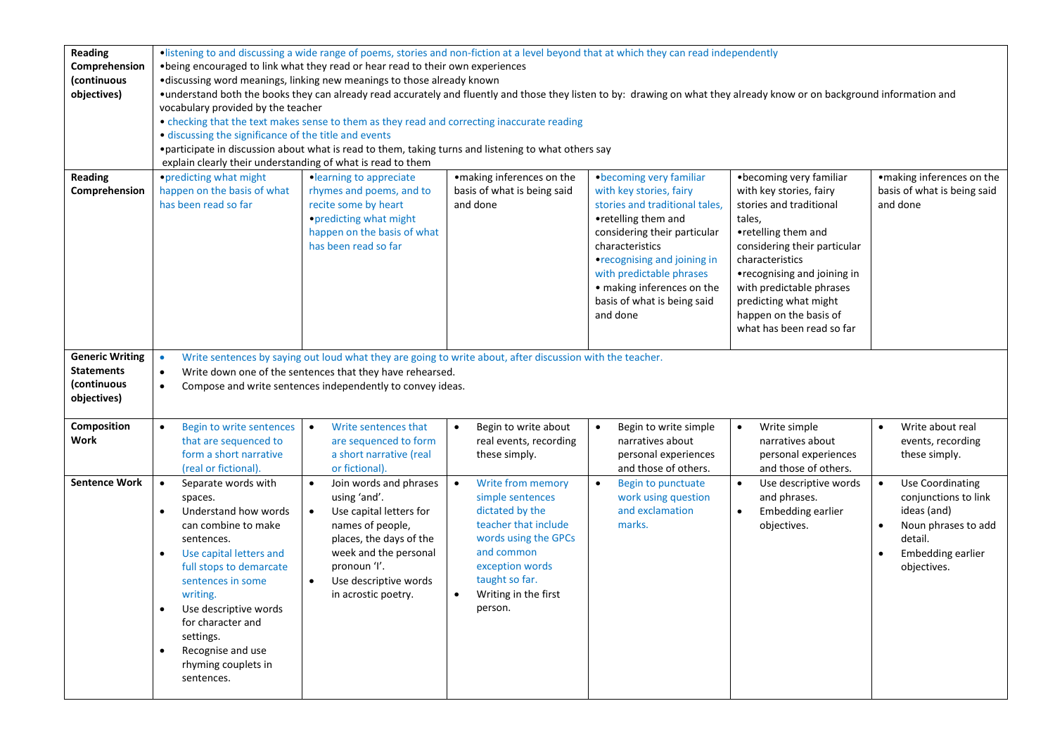| Reading                | •listening to and discussing a wide range of poems, stories and non-fiction at a level beyond that at which they can read independently |                                                                                                                                                                          |                                   |                                    |                                |                                  |  |
|------------------------|-----------------------------------------------------------------------------------------------------------------------------------------|--------------------------------------------------------------------------------------------------------------------------------------------------------------------------|-----------------------------------|------------------------------------|--------------------------------|----------------------------------|--|
| Comprehension          | . being encouraged to link what they read or hear read to their own experiences                                                         |                                                                                                                                                                          |                                   |                                    |                                |                                  |  |
| (continuous            | •discussing word meanings, linking new meanings to those already known                                                                  |                                                                                                                                                                          |                                   |                                    |                                |                                  |  |
| objectives)            |                                                                                                                                         | •understand both the books they can already read accurately and fluently and those they listen to by: drawing on what they already know or on background information and |                                   |                                    |                                |                                  |  |
|                        | vocabulary provided by the teacher                                                                                                      |                                                                                                                                                                          |                                   |                                    |                                |                                  |  |
|                        |                                                                                                                                         | • checking that the text makes sense to them as they read and correcting inaccurate reading                                                                              |                                   |                                    |                                |                                  |  |
|                        | • discussing the significance of the title and events                                                                                   |                                                                                                                                                                          |                                   |                                    |                                |                                  |  |
|                        |                                                                                                                                         | •participate in discussion about what is read to them, taking turns and listening to what others say                                                                     |                                   |                                    |                                |                                  |  |
|                        | explain clearly their understanding of what is read to them                                                                             |                                                                                                                                                                          |                                   |                                    |                                |                                  |  |
| <b>Reading</b>         | • predicting what might                                                                                                                 | •learning to appreciate                                                                                                                                                  | ·making inferences on the         | · becoming very familiar           | • becoming very familiar       | ·making inferences on the        |  |
| Comprehension          | happen on the basis of what                                                                                                             | rhymes and poems, and to                                                                                                                                                 | basis of what is being said       | with key stories, fairy            | with key stories, fairy        | basis of what is being said      |  |
|                        | has been read so far                                                                                                                    | recite some by heart                                                                                                                                                     | and done                          | stories and traditional tales,     | stories and traditional        | and done                         |  |
|                        |                                                                                                                                         | • predicting what might                                                                                                                                                  |                                   | •retelling them and                | tales,                         |                                  |  |
|                        |                                                                                                                                         | happen on the basis of what                                                                                                                                              |                                   | considering their particular       | •retelling them and            |                                  |  |
|                        |                                                                                                                                         | has been read so far                                                                                                                                                     |                                   | characteristics                    | considering their particular   |                                  |  |
|                        |                                                                                                                                         |                                                                                                                                                                          |                                   |                                    | characteristics                |                                  |  |
|                        |                                                                                                                                         |                                                                                                                                                                          |                                   | •recognising and joining in        |                                |                                  |  |
|                        |                                                                                                                                         |                                                                                                                                                                          |                                   | with predictable phrases           | •recognising and joining in    |                                  |  |
|                        |                                                                                                                                         |                                                                                                                                                                          |                                   | • making inferences on the         | with predictable phrases       |                                  |  |
|                        |                                                                                                                                         |                                                                                                                                                                          |                                   | basis of what is being said        | predicting what might          |                                  |  |
|                        |                                                                                                                                         |                                                                                                                                                                          |                                   | and done                           | happen on the basis of         |                                  |  |
|                        |                                                                                                                                         |                                                                                                                                                                          |                                   |                                    | what has been read so far      |                                  |  |
|                        |                                                                                                                                         |                                                                                                                                                                          |                                   |                                    |                                |                                  |  |
| <b>Generic Writing</b> | $\bullet$                                                                                                                               | Write sentences by saying out loud what they are going to write about, after discussion with the teacher.                                                                |                                   |                                    |                                |                                  |  |
| <b>Statements</b>      | $\bullet$                                                                                                                               | Write down one of the sentences that they have rehearsed.                                                                                                                |                                   |                                    |                                |                                  |  |
| (continuous            | $\bullet$                                                                                                                               | Compose and write sentences independently to convey ideas.                                                                                                               |                                   |                                    |                                |                                  |  |
| objectives)            |                                                                                                                                         |                                                                                                                                                                          |                                   |                                    |                                |                                  |  |
|                        |                                                                                                                                         |                                                                                                                                                                          |                                   |                                    |                                |                                  |  |
| Composition            | Begin to write sentences<br>$\bullet$                                                                                                   | Write sentences that<br>$\bullet$                                                                                                                                        | Begin to write about              | Begin to write simple<br>$\bullet$ | Write simple<br>$\bullet$      | Write about real                 |  |
| Work                   | that are sequenced to                                                                                                                   | are sequenced to form                                                                                                                                                    | real events, recording            | narratives about                   | narratives about               | events, recording                |  |
|                        | form a short narrative                                                                                                                  | a short narrative (real                                                                                                                                                  | these simply.                     | personal experiences               | personal experiences           | these simply.                    |  |
|                        | (real or fictional).                                                                                                                    | or fictional).                                                                                                                                                           |                                   | and those of others.               | and those of others.           |                                  |  |
| <b>Sentence Work</b>   | Separate words with<br>$\bullet$                                                                                                        | Join words and phrases                                                                                                                                                   | Write from memory                 | Begin to punctuate<br>$\bullet$    | Use descriptive words          | <b>Use Coordinating</b>          |  |
|                        | spaces.                                                                                                                                 | using 'and'.                                                                                                                                                             | simple sentences                  | work using question                | and phrases.                   | conjunctions to link             |  |
|                        | Understand how words<br>$\bullet$                                                                                                       | Use capital letters for<br>$\bullet$                                                                                                                                     | dictated by the                   | and exclamation                    | Embedding earlier<br>$\bullet$ | ideas (and)                      |  |
|                        | can combine to make                                                                                                                     | names of people,                                                                                                                                                         | teacher that include              | marks.                             | objectives.                    | Noun phrases to add<br>$\bullet$ |  |
|                        | sentences.                                                                                                                              | places, the days of the                                                                                                                                                  | words using the GPCs              |                                    |                                | detail.                          |  |
|                        | Use capital letters and                                                                                                                 | week and the personal                                                                                                                                                    | and common                        |                                    |                                | <b>Embedding earlier</b>         |  |
|                        | full stops to demarcate                                                                                                                 | pronoun 'l'.                                                                                                                                                             | exception words                   |                                    |                                | objectives.                      |  |
|                        | sentences in some                                                                                                                       | Use descriptive words<br>$\bullet$                                                                                                                                       | taught so far.                    |                                    |                                |                                  |  |
|                        | writing.                                                                                                                                | in acrostic poetry.                                                                                                                                                      | Writing in the first<br>$\bullet$ |                                    |                                |                                  |  |
|                        | Use descriptive words<br>$\bullet$                                                                                                      |                                                                                                                                                                          | person.                           |                                    |                                |                                  |  |
|                        | for character and                                                                                                                       |                                                                                                                                                                          |                                   |                                    |                                |                                  |  |
|                        | settings.                                                                                                                               |                                                                                                                                                                          |                                   |                                    |                                |                                  |  |
|                        | Recognise and use                                                                                                                       |                                                                                                                                                                          |                                   |                                    |                                |                                  |  |
|                        | rhyming couplets in                                                                                                                     |                                                                                                                                                                          |                                   |                                    |                                |                                  |  |
|                        | sentences.                                                                                                                              |                                                                                                                                                                          |                                   |                                    |                                |                                  |  |
|                        |                                                                                                                                         |                                                                                                                                                                          |                                   |                                    |                                |                                  |  |
|                        |                                                                                                                                         |                                                                                                                                                                          |                                   |                                    |                                |                                  |  |